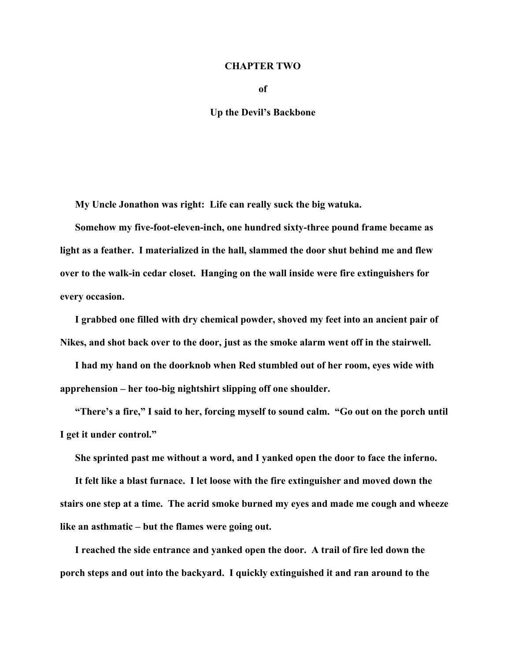## **CHAPTER TWO**

**of** 

## **Up the Devil's Backbone**

**My Uncle Jonathon was right: Life can really suck the big watuka.** 

**Somehow my five-foot-eleven-inch, one hundred sixty-three pound frame became as light as a feather. I materialized in the hall, slammed the door shut behind me and flew over to the walk-in cedar closet. Hanging on the wall inside were fire extinguishers for every occasion.** 

**I grabbed one filled with dry chemical powder, shoved my feet into an ancient pair of Nikes, and shot back over to the door, just as the smoke alarm went off in the stairwell.** 

**I had my hand on the doorknob when Red stumbled out of her room, eyes wide with apprehension – her too-big nightshirt slipping off one shoulder.** 

**"There's a fire," I said to her, forcing myself to sound calm. "Go out on the porch until I get it under control."** 

**She sprinted past me without a word, and I yanked open the door to face the inferno.** 

**It felt like a blast furnace. I let loose with the fire extinguisher and moved down the stairs one step at a time. The acrid smoke burned my eyes and made me cough and wheeze like an asthmatic – but the flames were going out.** 

**I reached the side entrance and yanked open the door. A trail of fire led down the porch steps and out into the backyard. I quickly extinguished it and ran around to the**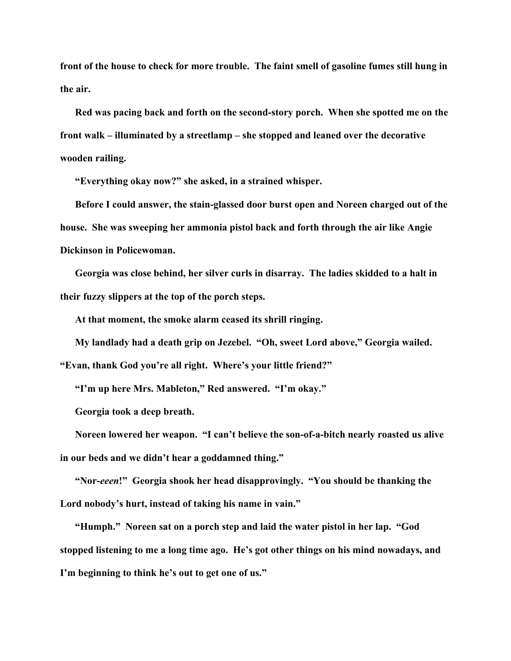**front of the house to check for more trouble. The faint smell of gasoline fumes still hung in the air.** 

**Red was pacing back and forth on the second-story porch. When she spotted me on the front walk – illuminated by a streetlamp – she stopped and leaned over the decorative wooden railing.** 

**"Everything okay now?" she asked, in a strained whisper.** 

**Before I could answer, the stain-glassed door burst open and Noreen charged out of the house. She was sweeping her ammonia pistol back and forth through the air like Angie Dickinson in Policewoman.** 

**Georgia was close behind, her silver curls in disarray. The ladies skidded to a halt in their fuzzy slippers at the top of the porch steps.** 

**At that moment, the smoke alarm ceased its shrill ringing.** 

**My landlady had a death grip on Jezebel. "Oh, sweet Lord above," Georgia wailed.** 

**"Evan, thank God you're all right. Where's your little friend?"** 

**"I'm up here Mrs. Mableton," Red answered. "I'm okay."** 

**Georgia took a deep breath.** 

**Noreen lowered her weapon. "I can't believe the son-of-a-bitch nearly roasted us alive in our beds and we didn't hear a goddamned thing."** 

**"Nor-***eeen***!" Georgia shook her head disapprovingly. "You should be thanking the Lord nobody's hurt, instead of taking his name in vain."** 

**"Humph." Noreen sat on a porch step and laid the water pistol in her lap. "God stopped listening to me a long time ago. He's got other things on his mind nowadays, and I'm beginning to think he's out to get one of us."**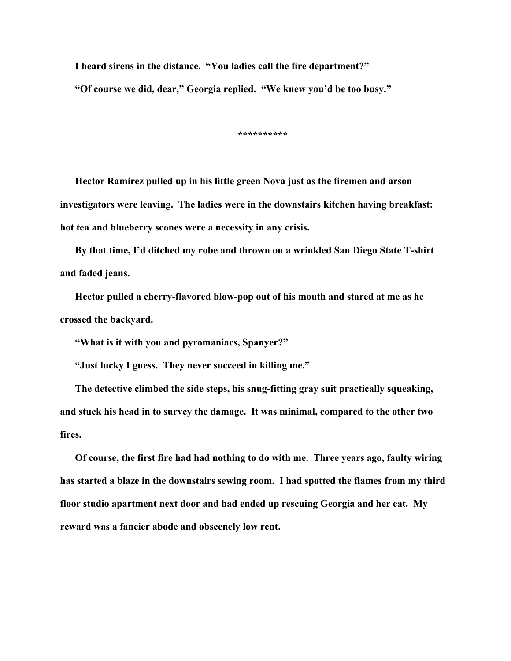**I heard sirens in the distance. "You ladies call the fire department?"** 

**"Of course we did, dear," Georgia replied. "We knew you'd be too busy."** 

**\*\*\*\*\*\*\*\*\*\*** 

**Hector Ramirez pulled up in his little green Nova just as the firemen and arson investigators were leaving. The ladies were in the downstairs kitchen having breakfast: hot tea and blueberry scones were a necessity in any crisis.** 

**By that time, I'd ditched my robe and thrown on a wrinkled San Diego State T-shirt and faded jeans.** 

**Hector pulled a cherry-flavored blow-pop out of his mouth and stared at me as he crossed the backyard.** 

**"What is it with you and pyromaniacs, Spanyer?"** 

**"Just lucky I guess. They never succeed in killing me."** 

**The detective climbed the side steps, his snug-fitting gray suit practically squeaking, and stuck his head in to survey the damage. It was minimal, compared to the other two fires.** 

**Of course, the first fire had had nothing to do with me. Three years ago, faulty wiring has started a blaze in the downstairs sewing room. I had spotted the flames from my third floor studio apartment next door and had ended up rescuing Georgia and her cat. My reward was a fancier abode and obscenely low rent.**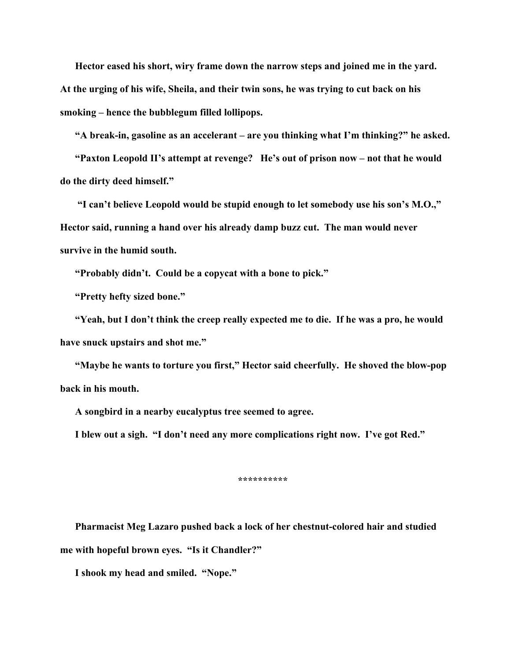**Hector eased his short, wiry frame down the narrow steps and joined me in the yard. At the urging of his wife, Sheila, and their twin sons, he was trying to cut back on his smoking – hence the bubblegum filled lollipops.** 

**"A break-in, gasoline as an accelerant – are you thinking what I'm thinking?" he asked.** 

**"Paxton Leopold II's attempt at revenge? He's out of prison now – not that he would do the dirty deed himself."** 

 **"I can't believe Leopold would be stupid enough to let somebody use his son's M.O.," Hector said, running a hand over his already damp buzz cut. The man would never survive in the humid south.** 

**"Probably didn't. Could be a copycat with a bone to pick."** 

**"Pretty hefty sized bone."** 

**"Yeah, but I don't think the creep really expected me to die. If he was a pro, he would have snuck upstairs and shot me."** 

**"Maybe he wants to torture you first," Hector said cheerfully. He shoved the blow-pop back in his mouth.** 

**A songbird in a nearby eucalyptus tree seemed to agree.** 

**I blew out a sigh. "I don't need any more complications right now. I've got Red."** 

**\*\*\*\*\*\*\*\*\*\*** 

**Pharmacist Meg Lazaro pushed back a lock of her chestnut-colored hair and studied me with hopeful brown eyes. "Is it Chandler?"** 

**I shook my head and smiled. "Nope."**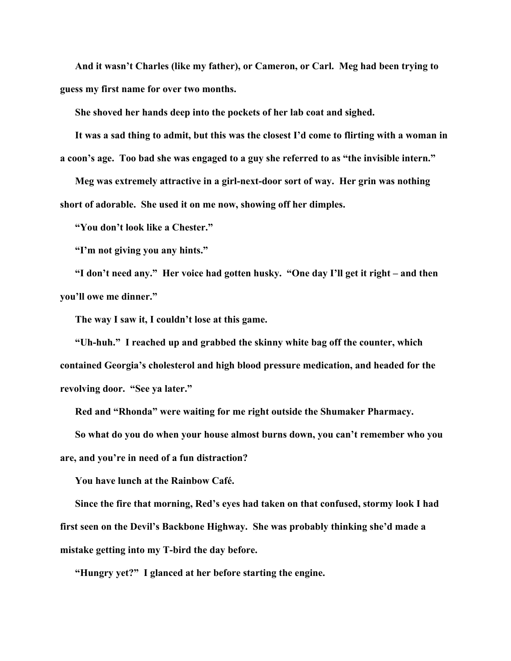**And it wasn't Charles (like my father), or Cameron, or Carl. Meg had been trying to guess my first name for over two months.** 

**She shoved her hands deep into the pockets of her lab coat and sighed.** 

**It was a sad thing to admit, but this was the closest I'd come to flirting with a woman in a coon's age. Too bad she was engaged to a guy she referred to as "the invisible intern."** 

**Meg was extremely attractive in a girl-next-door sort of way. Her grin was nothing short of adorable. She used it on me now, showing off her dimples.** 

**"You don't look like a Chester."** 

**"I'm not giving you any hints."** 

**"I don't need any." Her voice had gotten husky. "One day I'll get it right – and then you'll owe me dinner."** 

**The way I saw it, I couldn't lose at this game.** 

**"Uh-huh." I reached up and grabbed the skinny white bag off the counter, which contained Georgia's cholesterol and high blood pressure medication, and headed for the revolving door. "See ya later."** 

**Red and "Rhonda" were waiting for me right outside the Shumaker Pharmacy.** 

**So what do you do when your house almost burns down, you can't remember who you are, and you're in need of a fun distraction?** 

**You have lunch at the Rainbow Café.** 

**Since the fire that morning, Red's eyes had taken on that confused, stormy look I had first seen on the Devil's Backbone Highway. She was probably thinking she'd made a mistake getting into my T-bird the day before.** 

**"Hungry yet?" I glanced at her before starting the engine.**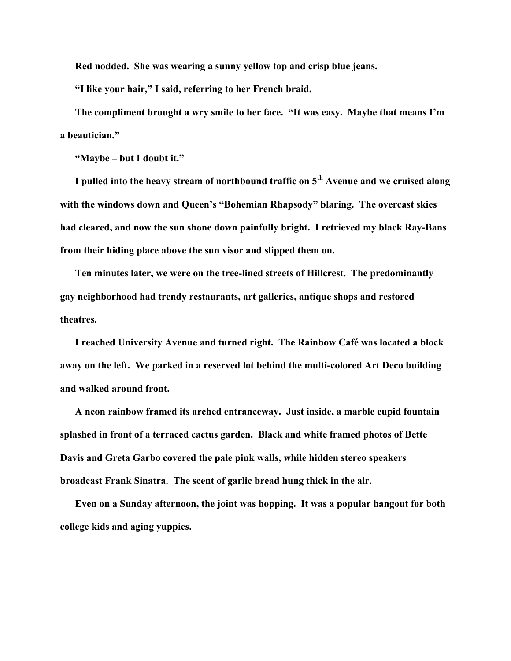**Red nodded. She was wearing a sunny yellow top and crisp blue jeans.** 

**"I like your hair," I said, referring to her French braid.** 

**The compliment brought a wry smile to her face. "It was easy. Maybe that means I'm a beautician."** 

**"Maybe – but I doubt it."** 

**I pulled into the heavy stream of northbound traffic on 5th Avenue and we cruised along with the windows down and Queen's "Bohemian Rhapsody" blaring. The overcast skies had cleared, and now the sun shone down painfully bright. I retrieved my black Ray-Bans from their hiding place above the sun visor and slipped them on.** 

**Ten minutes later, we were on the tree-lined streets of Hillcrest. The predominantly gay neighborhood had trendy restaurants, art galleries, antique shops and restored theatres.** 

**I reached University Avenue and turned right. The Rainbow Café was located a block away on the left. We parked in a reserved lot behind the multi-colored Art Deco building and walked around front.** 

**A neon rainbow framed its arched entranceway. Just inside, a marble cupid fountain splashed in front of a terraced cactus garden. Black and white framed photos of Bette Davis and Greta Garbo covered the pale pink walls, while hidden stereo speakers broadcast Frank Sinatra. The scent of garlic bread hung thick in the air.** 

**Even on a Sunday afternoon, the joint was hopping. It was a popular hangout for both college kids and aging yuppies.**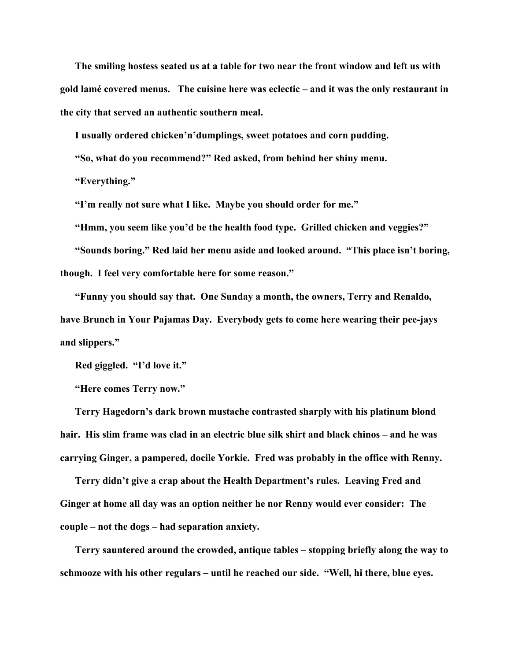**The smiling hostess seated us at a table for two near the front window and left us with gold lamé covered menus. The cuisine here was eclectic – and it was the only restaurant in the city that served an authentic southern meal.** 

**I usually ordered chicken'n'dumplings, sweet potatoes and corn pudding.** 

**"So, what do you recommend?" Red asked, from behind her shiny menu.** 

**"Everything."** 

**"I'm really not sure what I like. Maybe you should order for me."** 

**"Hmm, you seem like you'd be the health food type. Grilled chicken and veggies?"** 

**"Sounds boring." Red laid her menu aside and looked around. "This place isn't boring,** 

**though. I feel very comfortable here for some reason."** 

**"Funny you should say that. One Sunday a month, the owners, Terry and Renaldo, have Brunch in Your Pajamas Day. Everybody gets to come here wearing their pee-jays and slippers."** 

**Red giggled. "I'd love it."** 

**"Here comes Terry now."** 

**Terry Hagedorn's dark brown mustache contrasted sharply with his platinum blond hair. His slim frame was clad in an electric blue silk shirt and black chinos – and he was carrying Ginger, a pampered, docile Yorkie. Fred was probably in the office with Renny.** 

**Terry didn't give a crap about the Health Department's rules. Leaving Fred and Ginger at home all day was an option neither he nor Renny would ever consider: The couple – not the dogs – had separation anxiety.** 

**Terry sauntered around the crowded, antique tables – stopping briefly along the way to schmooze with his other regulars – until he reached our side. "Well, hi there, blue eyes.**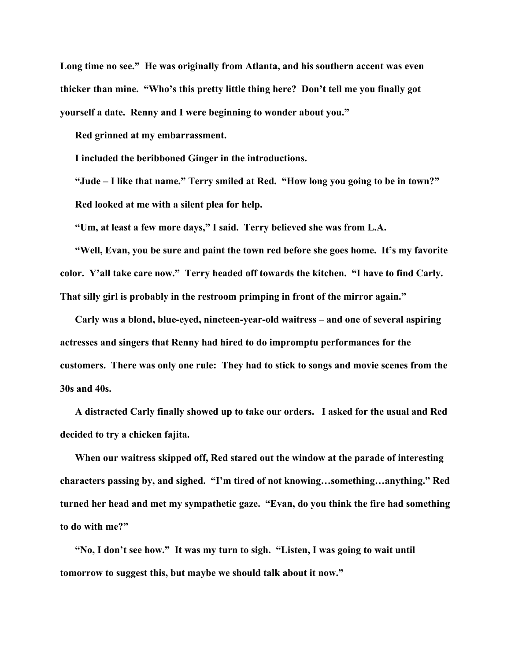**Long time no see." He was originally from Atlanta, and his southern accent was even thicker than mine. "Who's this pretty little thing here? Don't tell me you finally got yourself a date. Renny and I were beginning to wonder about you."** 

**Red grinned at my embarrassment.** 

**I included the beribboned Ginger in the introductions.** 

**"Jude – I like that name." Terry smiled at Red. "How long you going to be in town?" Red looked at me with a silent plea for help.** 

**"Um, at least a few more days," I said. Terry believed she was from L.A.** 

**"Well, Evan, you be sure and paint the town red before she goes home. It's my favorite color. Y'all take care now." Terry headed off towards the kitchen. "I have to find Carly. That silly girl is probably in the restroom primping in front of the mirror again."** 

**Carly was a blond, blue-eyed, nineteen-year-old waitress – and one of several aspiring actresses and singers that Renny had hired to do impromptu performances for the customers. There was only one rule: They had to stick to songs and movie scenes from the 30s and 40s.** 

**A distracted Carly finally showed up to take our orders. I asked for the usual and Red decided to try a chicken fajita.** 

**When our waitress skipped off, Red stared out the window at the parade of interesting characters passing by, and sighed. "I'm tired of not knowing…something…anything." Red turned her head and met my sympathetic gaze. "Evan, do you think the fire had something to do with me?"** 

**"No, I don't see how." It was my turn to sigh. "Listen, I was going to wait until tomorrow to suggest this, but maybe we should talk about it now."**